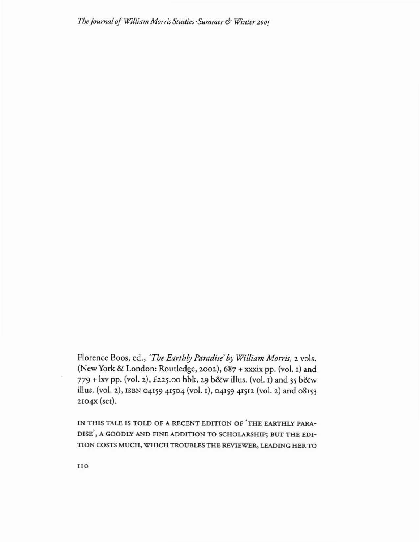*Thejournal of Wi//iamMorris Studies'Summer***6'** *Win/a <sup>2</sup> <sup>005</sup>*

Florence Boos, ed., 'The Earthly Paradise' by William Morris, 2 vols. (New York & London: Routledge, 2002), 687 + xxxix pp. (vol. 1) and  $779 +$  kv pp. (vol. 2), £225.00 hbk, 29 b&w illus. (vol. 1) and 35 b&w illus. (vol. 2), ISBN 04159 41504 (vol. 1), 04159 41512 (vol. 2) and 08153 2104X (set).

**IN TH IS TALE** rs **TOLD OF A RECENT EDITION OF 'TH E EARTHLY PARA-DlSE', A GOODLY AN D fIN E ADDITION TO SCHOLARSHI P; BUT THE EDI-TIO N COSTS MUCH, WH ICH TROUBLESTHE REVIEWER, L£ADlNG HER TO**

110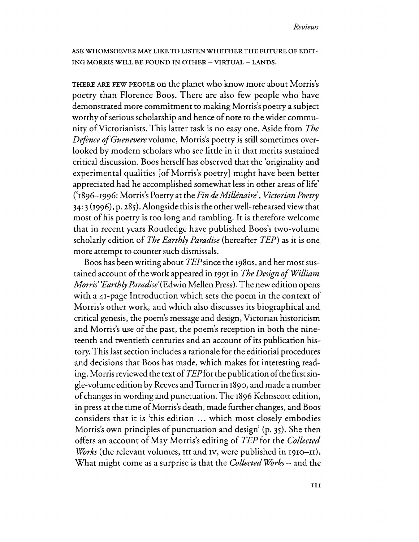ASK WHOMSOEVER MAYLIKE TO LISTENWHETHERTHE FUTURE OF EDIT-ING MORRIS WILL BE FOUND IN OTHER - VIRTUAL - LANDS.

THERE ARE FEW PEOPLE on the planet who know more about Morris's poetry than Florence Boos. There are also few people who have demonstrated more commitment to making Morris's poetry a subject worthy of serious scholarship and hence of note to the wider community ofVictorianists. This latter task is no easy one. Aside from *The Defence of Guenevere* volume, Morris's poetry is still sometimes overlooked by modern scholars who see little in it that merits sustained critical discussion. Boos herse1fhas observed that the 'originality and experimental qualities [of Morris's poetry] might have been better appreciated had he accomplished somewhat less in other areas of life' ('1896-1996: Morris's Poetry at the *FindeMillenaire', Victorian Poetry* 34:3(1996), p. 285). Alongside this isthe otherwell-rehearsed view that most of his poetry is too long and rambling. It is therefore welcome that in recent years Routledge have published Boos's two-volume scholarly edition of *The Earthly Paradise* (hereafter *TEP*) as it is one more attempt to counter such dismissals.

Boos has been writing about *TEP* since the 1980s, and her most sustained account of the work appeared in 1991 in *The Design of William Morris' Earthly Paradise'* (Edwin Mellen Press). The new edition opens with a 41-page Introduction which sets the poem in the context of Morris's other work, and which also discusses its biographical and critical genesis, the poem's message and design, Victorian historicism and Morris's use of the past, the poem's reception in both the nineteenth and twentieth centuries and an account of its publication history.This last section includes a rationale for the editiorial procedures and decisions that Boos has made, which makes for interesting reading. Morris reviewed the text of*TEPfor*the publication ofthe first single-volume edition by ReevesandTurner in 1890, and made a number of changes in wording and punctuation. The 1896 Kelmscott edition, in press at the time of Morris's death, made further changes, and Boos considers that it is 'this edition ... which most closely embodies Morris's own principles of punctuation and design'  $(p, 35)$ . She then offers an account ofMay Morris's editing of *TEP* for the *Collected Works* (the relevant volumes, III and IV, were published in 1910–11). What might come as a surprise is that the *Collected WOrks* - and the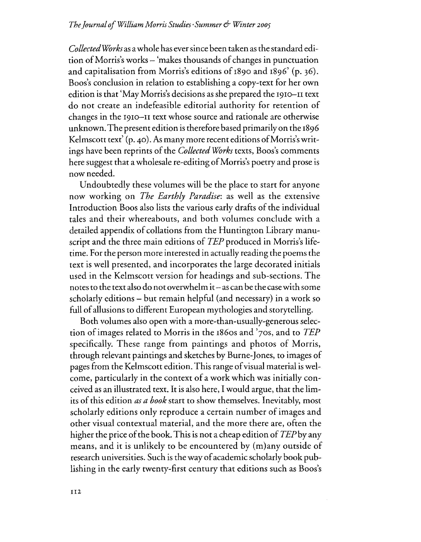*CollectedWorks* asawhole has eversince been taken asthe standard edition of Morris's works – 'makes thousands of changes in punctuation and capitalisation from Morris's editions of  $1890$  and  $1896'$  (p. 36). Boos's conclusion in relation to establishing a copy-text for her own edition is that 'May Morris's decisions as she prepared the 1910–11 text do not create an indefeasible editorial authority for retention of changes in the 1910-n text whose source and rationale are otherwise unknown.The present edition istherefore based primarilyon the 1896 Kelmscott text'  $(p, 40)$ . As many more recent editions of Morris's writings have been reprints ofthe *Collected Works* texts, Boos's comments here suggest that a wholesale re-editing of Morris's poetry and prose is now needed.

Undoubtedly these volumes will be the place to start for anyone now working on *The Earthly Paradise:* as well as the extensive Introduction Boos also lists the various early drafts of the individual tales and their whereabouts, and both volumes conclude with a detailed appendix of collations from the Huntington Library manuscript and the three main editions of *TEP* produced in Morris's lifetime. For the person more interested in actually reading the poems the text is well presented, and incorporates the large decorated initials used in the Kelmscott version for headings and sub-sections. The notes to the text alsodo not overwhelm it- ascan be the casewith some scholarly editions - but remain helpful (and necessary) in a work so full of allusions to different European mythologies and storytelling.

Both volumes also open with a more-than-usually-generous selection of images related to Morris in the 1860s and  $'7$ os, and to  $TEP$ specifically. These range from paintings and photos of Morris, through relevant paintings and sketches by Burne-jones, to images of pages from the Kelmscott edition. This range of visual material is welcome, particularly in the context of a work which was initially conceived as an illustrated text. It is also here) I would argue, that the limits of this edition *as a book* start to show themselves. Inevitably, most scholarly editions only reproduce a certain number of images and other visual contextual material, and the more there are, often the higher the price of the book. This is not a cheap edition of  $TFP$  by any means, and it is unlikely to be encountered by  $(m)$ any outside of research universities. Such is the way of academic scholarly book publishing in the early twenty-first century that editions such as Boos's